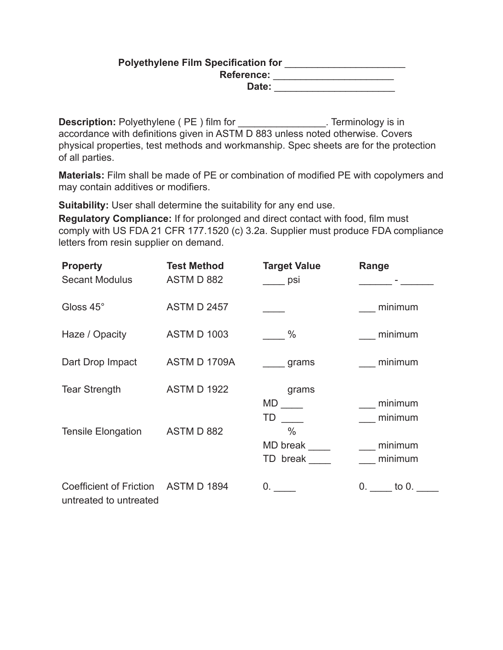# **Polyethylene Film Specification for** \_\_\_\_\_\_\_\_\_\_\_\_\_\_\_\_\_\_\_\_\_\_ **Reference:** \_\_\_\_\_\_\_\_\_\_\_\_\_\_\_\_\_\_\_\_\_\_ **Date:** \_\_\_\_\_\_\_\_\_\_\_\_\_\_\_\_\_\_\_\_\_\_

Description: Polyethylene (PE) film for \_\_\_\_\_\_\_\_\_\_\_\_\_\_\_\_\_. Terminology is in accordance with definitions given in ASTM D 883 unless noted otherwise. Covers physical properties, test methods and workmanship. Spec sheets are for the protection of all parties.

**Materials:** Film shall be made of PE or combination of modified PE with copolymers and may contain additives or modifiers.

**Suitability:** User shall determine the suitability for any end use.

**Regulatory Compliance:** If for prolonged and direct contact with food, film must comply with US FDA 21 CFR 177.1520 (c) 3.2a. Supplier must produce FDA compliance letters from resin supplier on demand.

| <b>Property</b><br><b>Secant Modulus</b>          | <b>Test Method</b><br>ASTM D 882 | <b>Target Value</b><br>psi            | Range              |
|---------------------------------------------------|----------------------------------|---------------------------------------|--------------------|
| Gloss 45°                                         | <b>ASTM D 2457</b>               |                                       | minimum            |
| Haze / Opacity                                    | <b>ASTM D 1003</b>               | $\%$                                  | minimum            |
| Dart Drop Impact                                  | ASTM D 1709A                     | grams                                 | minimum            |
| <b>Tear Strength</b>                              | <b>ASTM D 1922</b>               | grams<br>MD<br>TD                     | minimum<br>minimum |
| <b>Tensile Elongation</b>                         | ASTM D 882                       | $\frac{0}{0}$<br>MD break<br>TD break | minimum<br>minimum |
| Coefficient of Friction<br>untreated to untreated | <b>ASTM D 1894</b>               | 0.                                    | $0.$ to $0.$       |